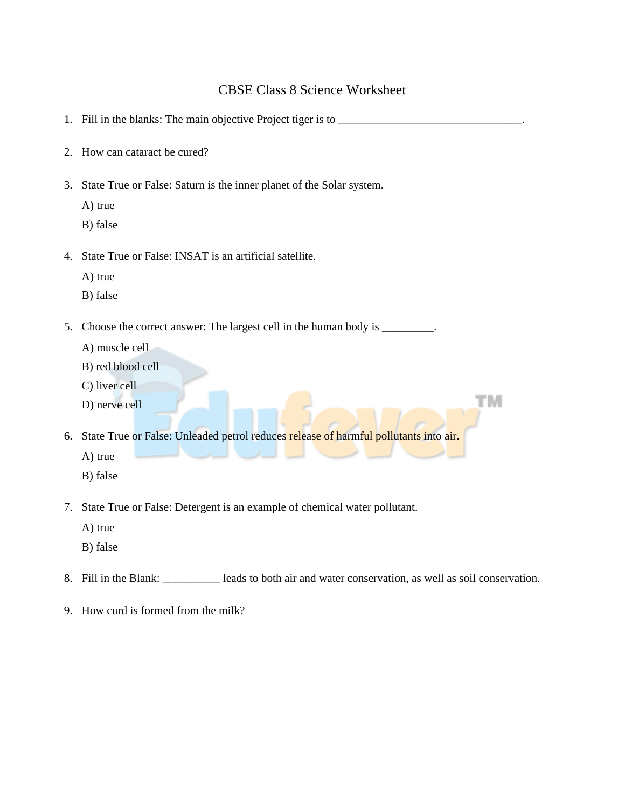## CBSE Class 8 Science Worksheet

|    | 1. Fill in the blanks: The main objective Project tiger is to _______                                                                                |
|----|------------------------------------------------------------------------------------------------------------------------------------------------------|
| 2. | How can cataract be cured?                                                                                                                           |
| 3. | State True or False: Saturn is the inner planet of the Solar system.                                                                                 |
|    | A) true                                                                                                                                              |
|    | B) false                                                                                                                                             |
| 4. | State True or False: INSAT is an artificial satellite.<br>A) true<br>B) false                                                                        |
| 5. | Choose the correct answer: The largest cell in the human body is _________.<br>A) muscle cell<br>B) red blood cell<br>C) liver cell<br>D) nerve cell |
| 6. | State True or False: Unleaded petrol reduces release of harmful pollutants into air.<br>A) true<br>B) false                                          |

7. State True or False: Detergent is an example of chemical water pollutant.

A) true

B) false

- 8. Fill in the Blank: leads to both air and water conservation, as well as soil conservation.
- 9. How curd is formed from the milk?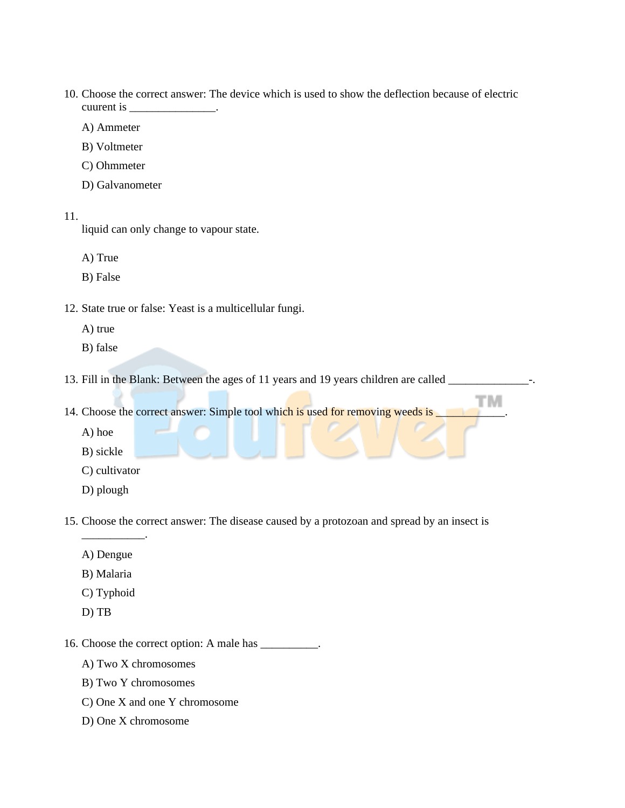- 10. Choose the correct answer: The device which is used to show the deflection because of electric cuurent is  $\equiv$ 
	- A) Ammeter
	- B) Voltmeter
	- C) Ohmmeter
	- D) Galvanometer
- 11.

liquid can only change to vapour state.

A) True

- B) False
- 12. State true or false: Yeast is a multicellular fungi.
	- A) true
	- B) false
- 13. Fill in the Blank: Between the ages of 11 years and 19 years children are called \_\_\_\_\_\_\_\_\_\_\_\_\_\_\_-.
- 14. Choose the correct answer: Simple tool which is used for removing weeds is
	- A) hoe
	- B) sickle
	- C) cultivator
	- D) plough
- 15. Choose the correct answer: The disease caused by a protozoan and spread by an insect is
	- A) Dengue

\_\_\_\_\_\_\_\_\_\_\_.

- B) Malaria
- C) Typhoid
- D) TB
- 16. Choose the correct option: A male has \_\_\_\_\_\_\_\_\_\_.
	- A) Two X chromosomes
	- B) Two Y chromosomes
	- C) One X and one Y chromosome
	- D) One X chromosome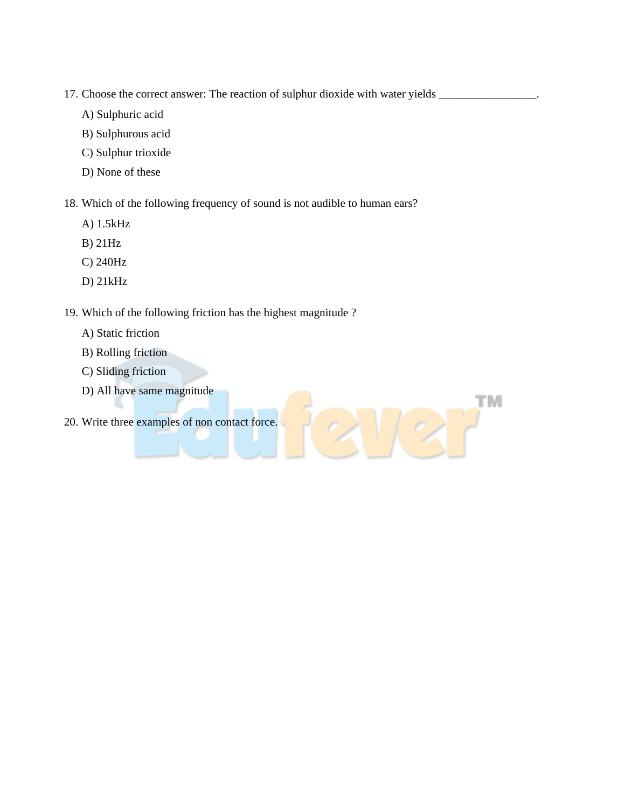- 17. Choose the correct answer: The reaction of sulphur dioxide with water yields  $\_\_$ 
	- A) Sulphuric acid
	- B) Sulphurous acid
	- C) Sulphur trioxide
	- D) None of these

18. Which of the following frequency of sound is not audible to human ears?

**TM** 

 $\sqrt{2}$ 

- A) 1.5kHz
- B) 21Hz
- C) 240Hz
- D) 21kHz

## 19. Which of the following friction has the highest magnitude ?

- A) Static friction
- B) Rolling friction
- C) Sliding friction
- D) All have same magnitude
- 20. Write three examples of non contact force.